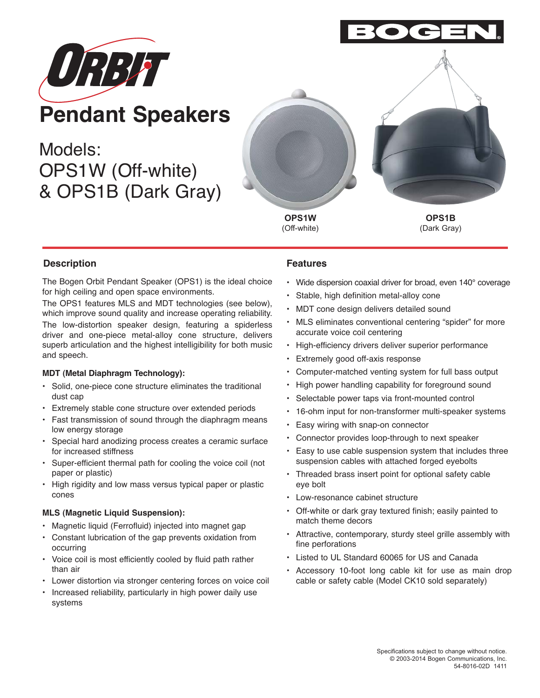

Models: OPS1W (Off-white) & OPS1B (Dark Gray)



**OPS1W** (Off-white)

(Dark Gray)

# **Description Features**

The Bogen Orbit Pendant Speaker (OPS1) is the ideal choice for high ceiling and open space environments.

The OPS1 features MLS and MDT technologies (see below), which improve sound quality and increase operating reliability.

The low-distortion speaker design, featuring a spiderless driver and one-piece metal-alloy cone structure, delivers superb articulation and the highest intelligibility for both music and speech.

### **MDT (Metal Diaphragm Technology):**

- Solid, one-piece cone structure eliminates the traditional dust cap
- Extremely stable cone structure over extended periods
- Fast transmission of sound through the diaphragm means low energy storage
- Special hard anodizing process creates a ceramic surface for increased stiffness
- Super-efficient thermal path for cooling the voice coil (not paper or plastic)
- High rigidity and low mass versus typical paper or plastic cones

### **MLS (Magnetic Liquid Suspension):**

- Magnetic liquid (Ferrofluid) injected into magnet gap
- Constant lubrication of the gap prevents oxidation from occurring
- Voice coil is most efficiently cooled by fluid path rather than air
- Lower distortion via stronger centering forces on voice coil
- Increased reliability, particularly in high power daily use systems

- Wide dispersion coaxial driver for broad, even 140° coverage
- Stable, high definition metal-alloy cone
- MDT cone design delivers detailed sound
- MLS eliminates conventional centering "spider" for more accurate voice coil centering
- High-efficiency drivers deliver superior performance
- Extremely good off-axis response
- Computer-matched venting system for full bass output
- High power handling capability for foreground sound
- Selectable power taps via front-mounted control
- 16-ohm input for non-transformer multi-speaker systems
- Easy wiring with snap-on connector
- Connector provides loop-through to next speaker
- Easy to use cable suspension system that includes three suspension cables with attached forged eyebolts
- Threaded brass insert point for optional safety cable eye bolt
- Low-resonance cabinet structure
- Off-white or dark gray textured finish; easily painted to match theme decors
- Attractive, contemporary, sturdy steel grille assembly with fine perforations
- Listed to UL Standard 60065 for US and Canada
- Accessory 10-foot long cable kit for use as main drop cable or safety cable (Model CK10 sold separately)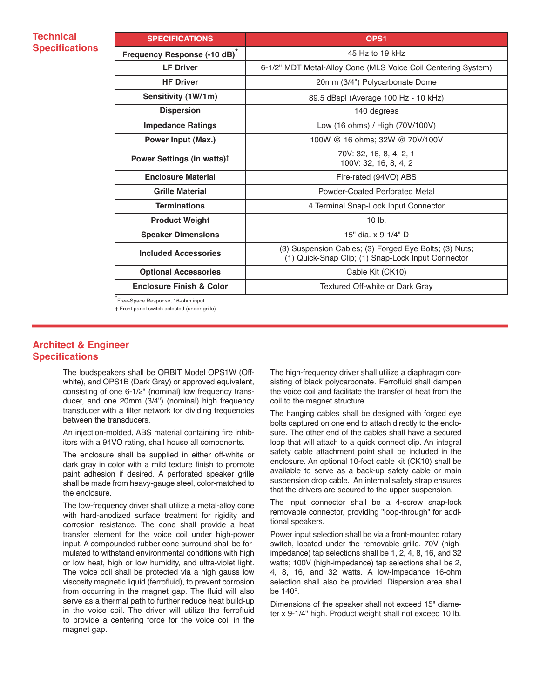## **Technical Specifications**

| <b>SPECIFICATIONS</b>                    | OPS <sub>1</sub>                                                                                             |
|------------------------------------------|--------------------------------------------------------------------------------------------------------------|
| Frequency Response (-10 dB) <sup>*</sup> | 45 Hz to 19 kHz                                                                                              |
| <b>LF Driver</b>                         | 6-1/2" MDT Metal-Alloy Cone (MLS Voice Coil Centering System)                                                |
| <b>HF Driver</b>                         | 20mm (3/4") Polycarbonate Dome                                                                               |
| Sensitivity (1W/1m)                      | 89.5 dBspl (Average 100 Hz - 10 kHz)                                                                         |
| <b>Dispersion</b>                        | 140 degrees                                                                                                  |
| <b>Impedance Ratings</b>                 | Low (16 ohms) / High (70V/100V)                                                                              |
| Power Input (Max.)                       | 100W @ 16 ohms; 32W @ 70V/100V                                                                               |
| Power Settings (in watts) <sup>†</sup>   | 70V: 32, 16, 8, 4, 2, 1<br>100V: 32, 16, 8, 4, 2                                                             |
| <b>Enclosure Material</b>                | Fire-rated (94VO) ABS                                                                                        |
| <b>Grille Material</b>                   | Powder-Coated Perforated Metal                                                                               |
| <b>Terminations</b>                      | 4 Terminal Snap-Lock Input Connector                                                                         |
| <b>Product Weight</b>                    | $10$ lb.                                                                                                     |
| <b>Speaker Dimensions</b>                | 15" dia. x 9-1/4" D                                                                                          |
| <b>Included Accessories</b>              | (3) Suspension Cables; (3) Forged Eye Bolts; (3) Nuts;<br>(1) Quick-Snap Clip; (1) Snap-Lock Input Connector |
| <b>Optional Accessories</b>              | Cable Kit (CK10)                                                                                             |
| <b>Enclosure Finish &amp; Color</b>      | Textured Off-white or Dark Gray                                                                              |

\* Free-Space Response, 16-ohm input

† Front panel switch selected (under grille)

## **Architect & Engineer Specifications**

The loudspeakers shall be ORBIT Model OPS1W (Offwhite), and OPS1B (Dark Gray) or approved equivalent, consisting of one 6-1/2" (nominal) low frequency transducer, and one 20mm (3/4") (nominal) high frequency transducer with a filter network for dividing frequencies between the transducers.

An injection-molded, ABS material containing fire inhibitors with a 94VO rating, shall house all components.

The enclosure shall be supplied in either off-white or dark gray in color with a mild texture finish to promote paint adhesion if desired. A perforated speaker grille shall be made from heavy-gauge steel, color-matched to the enclosure.

The low-frequency driver shall utilize a metal-alloy cone with hard-anodized surface treatment for rigidity and corrosion resistance. The cone shall provide a heat transfer element for the voice coil under high-power input. A compounded rubber cone surround shall be formulated to withstand environmental conditions with high or low heat, high or low humidity, and ultra-violet light. The voice coil shall be protected via a high gauss low viscosity magnetic liquid (ferrofluid), to prevent corrosion from occurring in the magnet gap. The fluid will also serve as a thermal path to further reduce heat build-up in the voice coil. The driver will utilize the ferrofluid to provide a centering force for the voice coil in the magnet gap.

The high-frequency driver shall utilize a diaphragm consisting of black polycarbonate. Ferrofluid shall dampen the voice coil and facilitate the transfer of heat from the coil to the magnet structure.

The hanging cables shall be designed with forged eye bolts captured on one end to attach directly to the enclosure. The other end of the cables shall have a secured loop that will attach to a quick connect clip. An integral safety cable attachment point shall be included in the enclosure. An optional 10-foot cable kit (CK10) shall be available to serve as a back-up safety cable or main suspension drop cable. An internal safety strap ensures that the drivers are secured to the upper suspension.

The input connector shall be a 4-screw snap-lock removable connector, providing "loop-through" for additional speakers.

Power input selection shall be via a front-mounted rotary switch, located under the removable grille. 70V (highimpedance) tap selections shall be 1, 2, 4, 8, 16, and 32 watts; 100V (high-impedance) tap selections shall be 2, 4, 8, 16, and 32 watts. A low-impedance 16-ohm selection shall also be provided. Dispersion area shall be 140°.

Dimensions of the speaker shall not exceed 15" diameter x 9-1/4" high. Product weight shall not exceed 10 lb.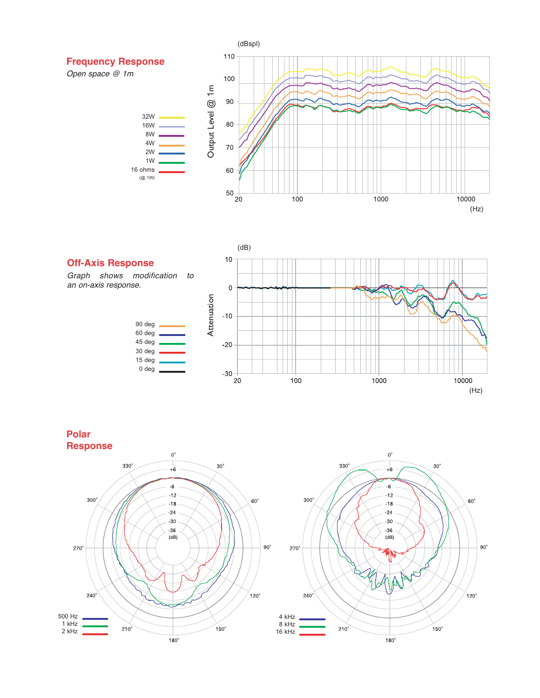